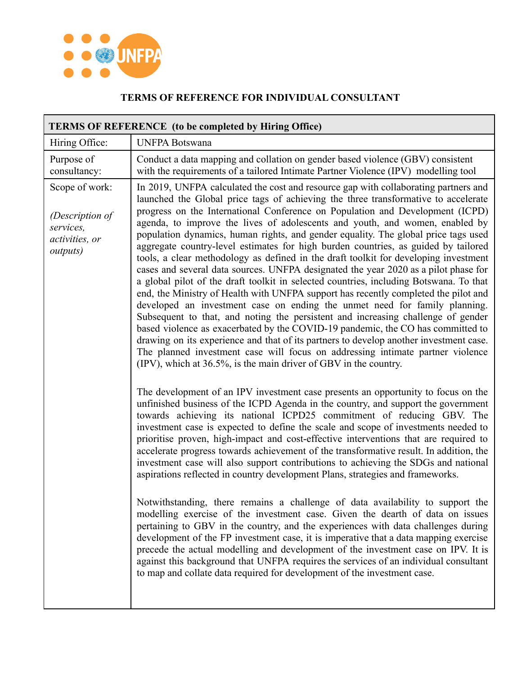

## **TERMS OF REFERENCE FOR INDIVIDUAL CONSULTANT**

| <b>TERMS OF REFERENCE</b> (to be completed by Hiring Office)                         |                                                                                                                                                                                                                                                                                                                                                                                                                                                                                                                                                                                                                                                                                                                                                                                                                                                                                                                                                                                                                                                                                                                                                                                                                                                                                                                                                                                                                                                                                  |  |
|--------------------------------------------------------------------------------------|----------------------------------------------------------------------------------------------------------------------------------------------------------------------------------------------------------------------------------------------------------------------------------------------------------------------------------------------------------------------------------------------------------------------------------------------------------------------------------------------------------------------------------------------------------------------------------------------------------------------------------------------------------------------------------------------------------------------------------------------------------------------------------------------------------------------------------------------------------------------------------------------------------------------------------------------------------------------------------------------------------------------------------------------------------------------------------------------------------------------------------------------------------------------------------------------------------------------------------------------------------------------------------------------------------------------------------------------------------------------------------------------------------------------------------------------------------------------------------|--|
| Hiring Office:                                                                       | <b>UNFPA Botswana</b>                                                                                                                                                                                                                                                                                                                                                                                                                                                                                                                                                                                                                                                                                                                                                                                                                                                                                                                                                                                                                                                                                                                                                                                                                                                                                                                                                                                                                                                            |  |
| Purpose of<br>consultancy:                                                           | Conduct a data mapping and collation on gender based violence (GBV) consistent<br>with the requirements of a tailored Intimate Partner Violence (IPV) modelling tool                                                                                                                                                                                                                                                                                                                                                                                                                                                                                                                                                                                                                                                                                                                                                                                                                                                                                                                                                                                                                                                                                                                                                                                                                                                                                                             |  |
| Scope of work:<br>(Description of<br>services,<br>activities, or<br><i>outputs</i> ) | In 2019, UNFPA calculated the cost and resource gap with collaborating partners and<br>launched the Global price tags of achieving the three transformative to accelerate<br>progress on the International Conference on Population and Development (ICPD)<br>agenda, to improve the lives of adolescents and youth, and women, enabled by<br>population dynamics, human rights, and gender equality. The global price tags used<br>aggregate country-level estimates for high burden countries, as guided by tailored<br>tools, a clear methodology as defined in the draft toolkit for developing investment<br>cases and several data sources. UNFPA designated the year 2020 as a pilot phase for<br>a global pilot of the draft toolkit in selected countries, including Botswana. To that<br>end, the Ministry of Health with UNFPA support has recently completed the pilot and<br>developed an investment case on ending the unmet need for family planning.<br>Subsequent to that, and noting the persistent and increasing challenge of gender<br>based violence as exacerbated by the COVID-19 pandemic, the CO has committed to<br>drawing on its experience and that of its partners to develop another investment case.<br>The planned investment case will focus on addressing intimate partner violence<br>(IPV), which at 36.5%, is the main driver of GBV in the country.<br>The development of an IPV investment case presents an opportunity to focus on the |  |
|                                                                                      | unfinished business of the ICPD Agenda in the country, and support the government<br>towards achieving its national ICPD25 commitment of reducing GBV. The<br>investment case is expected to define the scale and scope of investments needed to<br>prioritise proven, high-impact and cost-effective interventions that are required to<br>accelerate progress towards achievement of the transformative result. In addition, the<br>investment case will also support contributions to achieving the SDGs and national<br>aspirations reflected in country development Plans, strategies and frameworks.<br>Notwithstanding, there remains a challenge of data availability to support the<br>modelling exercise of the investment case. Given the dearth of data on issues<br>pertaining to GBV in the country, and the experiences with data challenges during<br>development of the FP investment case, it is imperative that a data mapping exercise<br>precede the actual modelling and development of the investment case on IPV. It is<br>against this background that UNFPA requires the services of an individual consultant<br>to map and collate data required for development of the investment case.                                                                                                                                                                                                                                                              |  |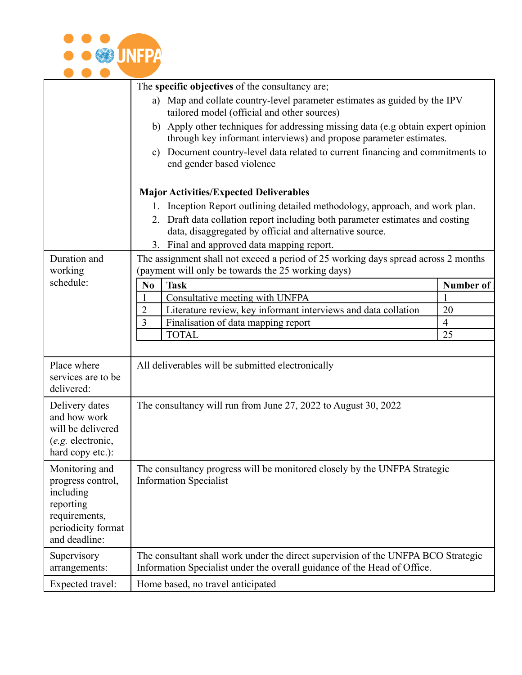

| The specific objectives of the consultancy are;                                                                                                                                                                                     |
|-------------------------------------------------------------------------------------------------------------------------------------------------------------------------------------------------------------------------------------|
|                                                                                                                                                                                                                                     |
|                                                                                                                                                                                                                                     |
|                                                                                                                                                                                                                                     |
|                                                                                                                                                                                                                                     |
|                                                                                                                                                                                                                                     |
|                                                                                                                                                                                                                                     |
|                                                                                                                                                                                                                                     |
| Duration and<br>The assignment shall not exceed a period of 25 working days spread across 2 months<br>working<br>(payment will only be towards the 25 working days)                                                                 |
|                                                                                                                                                                                                                                     |
|                                                                                                                                                                                                                                     |
|                                                                                                                                                                                                                                     |
|                                                                                                                                                                                                                                     |
|                                                                                                                                                                                                                                     |
| Place where<br>All deliverables will be submitted electronically<br>services are to be<br>delivered:                                                                                                                                |
| The consultancy will run from June 27, 2022 to August 30, 2022<br>Delivery dates<br>and how work<br>will be delivered<br>(e.g. electronic,<br>hard copy etc.):                                                                      |
| The consultancy progress will be monitored closely by the UNFPA Strategic<br>Monitoring and<br><b>Information Specialist</b><br>progress control,<br>including<br>reporting<br>requirements,<br>periodicity format<br>and deadline: |
| Supervisory<br>The consultant shall work under the direct supervision of the UNFPA BCO Strategic<br>Information Specialist under the overall guidance of the Head of Office.<br>arrangements:                                       |
| Expected travel:<br>Home based, no travel anticipated                                                                                                                                                                               |
| <b>Major Activities/Expected Deliverables</b><br>schedule:                                                                                                                                                                          |